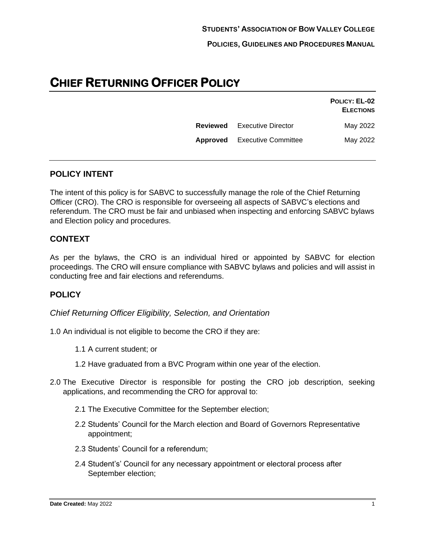**POLICIES, GUIDELINES AND PROCEDURES MANUAL**

# **CHIEF RETURNING OFFICER POLICY**

|                                     | POLICY: EL-02<br><b>ELECTIONS</b> |
|-------------------------------------|-----------------------------------|
| <b>Reviewed</b> Executive Director  | May 2022                          |
| <b>Approved</b> Executive Committee | May 2022                          |
|                                     |                                   |

# **POLICY INTENT**

The intent of this policy is for SABVC to successfully manage the role of the Chief Returning Officer (CRO). The CRO is responsible for overseeing all aspects of SABVC's elections and referendum. The CRO must be fair and unbiased when inspecting and enforcing SABVC bylaws and Election policy and procedures.

# **CONTEXT**

As per the bylaws, the CRO is an individual hired or appointed by SABVC for election proceedings. The CRO will ensure compliance with SABVC bylaws and policies and will assist in conducting free and fair elections and referendums.

# **POLICY**

*Chief Returning Officer Eligibility, Selection, and Orientation*

- 1.0 An individual is not eligible to become the CRO if they are:
	- 1.1 A current student; or
	- 1.2 Have graduated from a BVC Program within one year of the election.
- 2.0 The Executive Director is responsible for posting the CRO job description, seeking applications, and recommending the CRO for approval to:
	- 2.1 The Executive Committee for the September election;
	- 2.2 Students' Council for the March election and Board of Governors Representative appointment;
	- 2.3 Students' Council for a referendum;
	- 2.4 Student's' Council for any necessary appointment or electoral process after September election;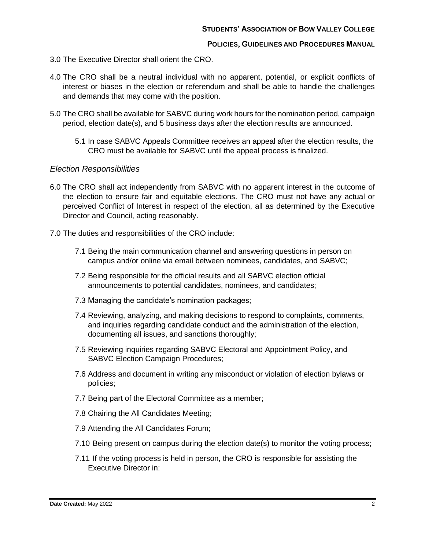## **POLICIES, GUIDELINES AND PROCEDURES MANUAL**

- 3.0 The Executive Director shall orient the CRO.
- 4.0 The CRO shall be a neutral individual with no apparent, potential, or explicit conflicts of interest or biases in the election or referendum and shall be able to handle the challenges and demands that may come with the position.
- 5.0 The CRO shall be available for SABVC during work hours for the nomination period, campaign period, election date(s), and 5 business days after the election results are announced.
	- 5.1 In case SABVC Appeals Committee receives an appeal after the election results, the CRO must be available for SABVC until the appeal process is finalized.

# *Election Responsibilities*

- 6.0 The CRO shall act independently from SABVC with no apparent interest in the outcome of the election to ensure fair and equitable elections. The CRO must not have any actual or perceived Conflict of Interest in respect of the election, all as determined by the Executive Director and Council, acting reasonably.
- 7.0 The duties and responsibilities of the CRO include:
	- 7.1 Being the main communication channel and answering questions in person on campus and/or online via email between nominees, candidates, and SABVC;
	- 7.2 Being responsible for the official results and all SABVC election official announcements to potential candidates, nominees, and candidates;
	- 7.3 Managing the candidate's nomination packages;
	- 7.4 Reviewing, analyzing, and making decisions to respond to complaints, comments, and inquiries regarding candidate conduct and the administration of the election, documenting all issues, and sanctions thoroughly;
	- 7.5 Reviewing inquiries regarding SABVC Electoral and Appointment Policy, and SABVC Election Campaign Procedures;
	- 7.6 Address and document in writing any misconduct or violation of election bylaws or policies;
	- 7.7 Being part of the Electoral Committee as a member;
	- 7.8 Chairing the All Candidates Meeting;
	- 7.9 Attending the All Candidates Forum;
	- 7.10 Being present on campus during the election date(s) to monitor the voting process;
	- 7.11 If the voting process is held in person, the CRO is responsible for assisting the Executive Director in: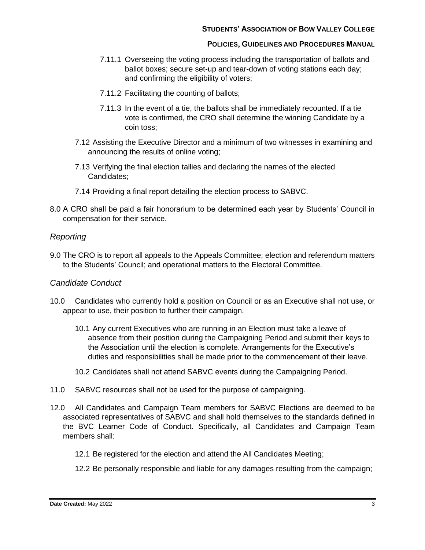## **STUDENTS' ASSOCIATION OF BOW VALLEY COLLEGE**

#### **POLICIES, GUIDELINES AND PROCEDURES MANUAL**

- 7.11.1 Overseeing the voting process including the transportation of ballots and ballot boxes; secure set-up and tear-down of voting stations each day; and confirming the eligibility of voters;
- 7.11.2 Facilitating the counting of ballots;
- 7.11.3 In the event of a tie, the ballots shall be immediately recounted. If a tie vote is confirmed, the CRO shall determine the winning Candidate by a coin toss;
- 7.12 Assisting the Executive Director and a minimum of two witnesses in examining and announcing the results of online voting;
- 7.13 Verifying the final election tallies and declaring the names of the elected Candidates;
- 7.14 Providing a final report detailing the election process to SABVC.
- 8.0 A CRO shall be paid a fair honorarium to be determined each year by Students' Council in compensation for their service.

# *Reporting*

9.0 The CRO is to report all appeals to the Appeals Committee; election and referendum matters to the Students' Council; and operational matters to the Electoral Committee.

# *Candidate Conduct*

- 10.0 Candidates who currently hold a position on Council or as an Executive shall not use, or appear to use, their position to further their campaign.
	- 10.1 Any current Executives who are running in an Election must take a leave of absence from their position during the Campaigning Period and submit their keys to the Association until the election is complete. Arrangements for the Executive's duties and responsibilities shall be made prior to the commencement of their leave.
	- 10.2 Candidates shall not attend SABVC events during the Campaigning Period.
- 11.0 SABVC resources shall not be used for the purpose of campaigning.
- 12.0 All Candidates and Campaign Team members for SABVC Elections are deemed to be associated representatives of SABVC and shall hold themselves to the standards defined in the BVC Learner Code of Conduct. Specifically, all Candidates and Campaign Team members shall:
	- 12.1 Be registered for the election and attend the All Candidates Meeting;
	- 12.2 Be personally responsible and liable for any damages resulting from the campaign;